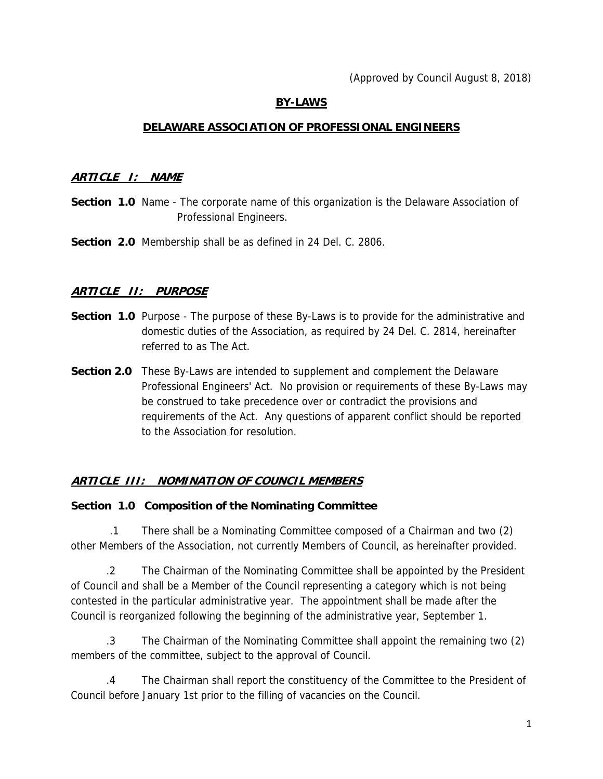### **BY-LAWS**

#### **DELAWARE ASSOCIATION OF PROFESSIONAL ENGINEERS**

#### **ARTICLE I: NAME**

- **Section 1.0** Name The corporate name of this organization is the Delaware Association of Professional Engineers.
- **Section 2.0** Membership shall be as defined in 24 Del. C. 2806.

### **ARTICLE II: PURPOSE**

- **Section 1.0** Purpose The purpose of these By-Laws is to provide for the administrative and domestic duties of the Association, as required by 24 Del. C. 2814, hereinafter referred to as The Act.
- **Section 2.0** These By-Laws are intended to supplement and complement the Delaware Professional Engineers' Act. No provision or requirements of these By-Laws may be construed to take precedence over or contradict the provisions and requirements of the Act. Any questions of apparent conflict should be reported to the Association for resolution.

### **ARTICLE III: NOMINATION OF COUNCIL MEMBERS**

#### **Section 1.0 Composition of the Nominating Committee**

 .1 There shall be a Nominating Committee composed of a Chairman and two (2) other Members of the Association, not currently Members of Council, as hereinafter provided.

 .2 The Chairman of the Nominating Committee shall be appointed by the President of Council and shall be a Member of the Council representing a category which is not being contested in the particular administrative year. The appointment shall be made after the Council is reorganized following the beginning of the administrative year, September 1.

 .3 The Chairman of the Nominating Committee shall appoint the remaining two (2) members of the committee, subject to the approval of Council.

 .4 The Chairman shall report the constituency of the Committee to the President of Council before January 1st prior to the filling of vacancies on the Council.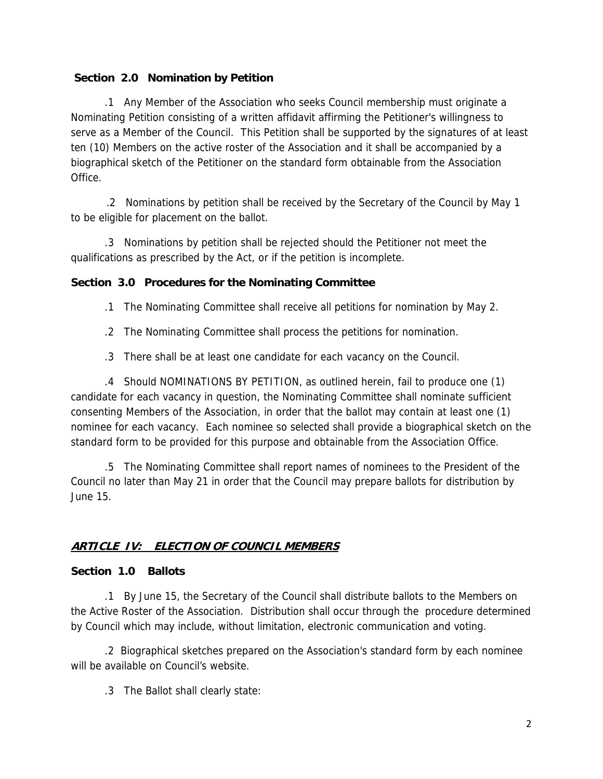### **Section 2.0 Nomination by Petition**

 .1 Any Member of the Association who seeks Council membership must originate a Nominating Petition consisting of a written affidavit affirming the Petitioner's willingness to serve as a Member of the Council. This Petition shall be supported by the signatures of at least ten (10) Members on the active roster of the Association and it shall be accompanied by a biographical sketch of the Petitioner on the standard form obtainable from the Association Office.

.2 Nominations by petition shall be received by the Secretary of the Council by May 1 to be eligible for placement on the ballot.

 .3 Nominations by petition shall be rejected should the Petitioner not meet the qualifications as prescribed by the Act, or if the petition is incomplete.

### **Section 3.0 Procedures for the Nominating Committee**

- .1 The Nominating Committee shall receive all petitions for nomination by May 2.
- .2 The Nominating Committee shall process the petitions for nomination.
- .3 There shall be at least one candidate for each vacancy on the Council.

 .4 Should NOMINATIONS BY PETITION, as outlined herein, fail to produce one (1) candidate for each vacancy in question, the Nominating Committee shall nominate sufficient consenting Members of the Association, in order that the ballot may contain at least one (1) nominee for each vacancy. Each nominee so selected shall provide a biographical sketch on the standard form to be provided for this purpose and obtainable from the Association Office.

 .5 The Nominating Committee shall report names of nominees to the President of the Council no later than May 21 in order that the Council may prepare ballots for distribution by June 15.

# **ARTICLE IV: ELECTION OF COUNCIL MEMBERS**

### **Section 1.0 Ballots**

 .1 By June 15, the Secretary of the Council shall distribute ballots to the Members on the Active Roster of the Association. Distribution shall occur through the procedure determined by Council which may include, without limitation, electronic communication and voting.

 .2 Biographical sketches prepared on the Association's standard form by each nominee will be available on Council's website.

.3 The Ballot shall clearly state: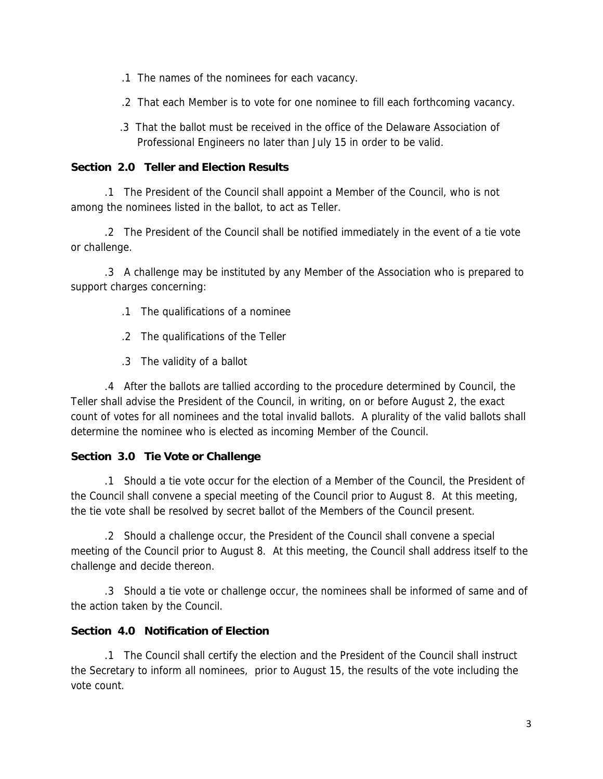- .1 The names of the nominees for each vacancy.
- .2 That each Member is to vote for one nominee to fill each forthcoming vacancy.
- .3 That the ballot must be received in the office of the Delaware Association of Professional Engineers no later than July 15 in order to be valid.

### **Section 2.0 Teller and Election Results**

 .1 The President of the Council shall appoint a Member of the Council, who is not among the nominees listed in the ballot, to act as Teller.

 .2 The President of the Council shall be notified immediately in the event of a tie vote or challenge.

 .3 A challenge may be instituted by any Member of the Association who is prepared to support charges concerning:

- .1 The qualifications of a nominee
- .2 The qualifications of the Teller
- .3 The validity of a ballot

 .4 After the ballots are tallied according to the procedure determined by Council, the Teller shall advise the President of the Council, in writing, on or before August 2, the exact count of votes for all nominees and the total invalid ballots. A plurality of the valid ballots shall determine the nominee who is elected as incoming Member of the Council.

### **Section 3.0 Tie Vote or Challenge**

 .1 Should a tie vote occur for the election of a Member of the Council, the President of the Council shall convene a special meeting of the Council prior to August 8. At this meeting, the tie vote shall be resolved by secret ballot of the Members of the Council present.

 .2 Should a challenge occur, the President of the Council shall convene a special meeting of the Council prior to August 8. At this meeting, the Council shall address itself to the challenge and decide thereon.

 .3 Should a tie vote or challenge occur, the nominees shall be informed of same and of the action taken by the Council.

# **Section 4.0 Notification of Election**

 .1 The Council shall certify the election and the President of the Council shall instruct the Secretary to inform all nominees, prior to August 15, the results of the vote including the vote count.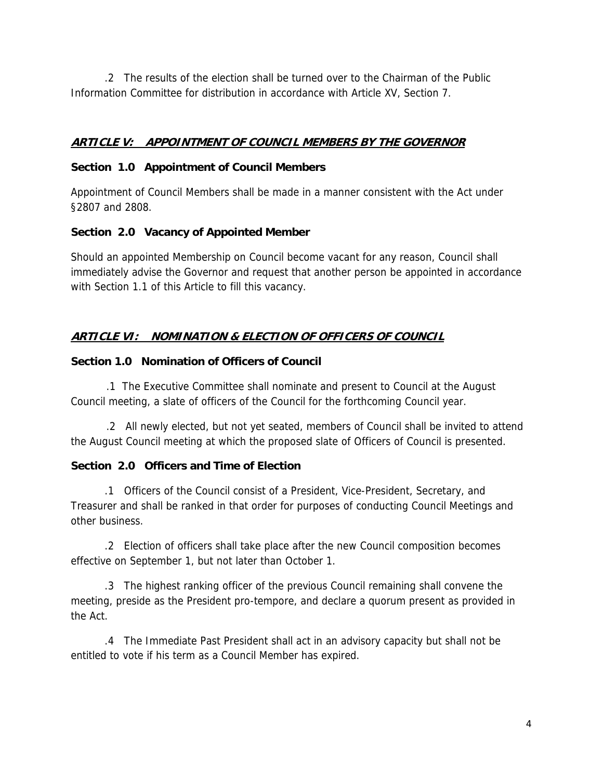.2 The results of the election shall be turned over to the Chairman of the Public Information Committee for distribution in accordance with Article XV, Section 7.

## **ARTICLE V: APPOINTMENT OF COUNCIL MEMBERS BY THE GOVERNOR**

#### **Section 1.0 Appointment of Council Members**

Appointment of Council Members shall be made in a manner consistent with the Act under §2807 and 2808.

### **Section 2.0 Vacancy of Appointed Member**

Should an appointed Membership on Council become vacant for any reason, Council shall immediately advise the Governor and request that another person be appointed in accordance with Section 1.1 of this Article to fill this vacancy.

# **ARTICLE VI: NOMINATION & ELECTION OF OFFICERS OF COUNCIL**

#### **Section 1.0 Nomination of Officers of Council**

.1 The Executive Committee shall nominate and present to Council at the August Council meeting, a slate of officers of the Council for the forthcoming Council year.

.2 All newly elected, but not yet seated, members of Council shall be invited to attend the August Council meeting at which the proposed slate of Officers of Council is presented.

### **Section 2.0 Officers and Time of Election**

 .1 Officers of the Council consist of a President, Vice-President, Secretary, and Treasurer and shall be ranked in that order for purposes of conducting Council Meetings and other business.

 .2 Election of officers shall take place after the new Council composition becomes effective on September 1, but not later than October 1.

 .3 The highest ranking officer of the previous Council remaining shall convene the meeting, preside as the President pro-tempore, and declare a quorum present as provided in the Act.

 .4 The Immediate Past President shall act in an advisory capacity but shall not be entitled to vote if his term as a Council Member has expired.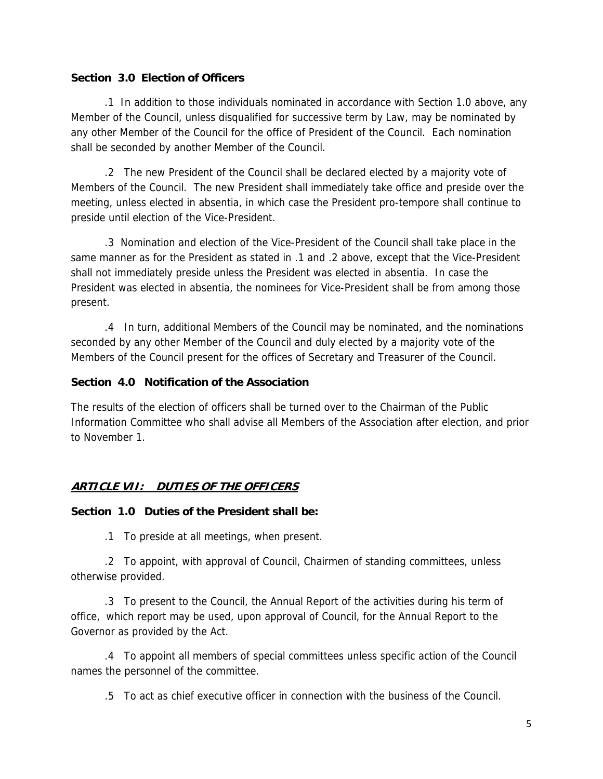#### **Section 3.0 Election of Officers**

 .1 In addition to those individuals nominated in accordance with Section 1.0 above, any Member of the Council, unless disqualified for successive term by Law, may be nominated by any other Member of the Council for the office of President of the Council. Each nomination shall be seconded by another Member of the Council.

 .2 The new President of the Council shall be declared elected by a majority vote of Members of the Council. The new President shall immediately take office and preside over the meeting, unless elected in absentia, in which case the President pro-tempore shall continue to preside until election of the Vice-President.

 .3 Nomination and election of the Vice-President of the Council shall take place in the same manner as for the President as stated in .1 and .2 above, except that the Vice-President shall not immediately preside unless the President was elected in absentia. In case the President was elected in absentia, the nominees for Vice-President shall be from among those present.

 .4 In turn, additional Members of the Council may be nominated, and the nominations seconded by any other Member of the Council and duly elected by a majority vote of the Members of the Council present for the offices of Secretary and Treasurer of the Council.

#### **Section 4.0 Notification of the Association**

The results of the election of officers shall be turned over to the Chairman of the Public Information Committee who shall advise all Members of the Association after election, and prior to November 1.

### **ARTICLE VII: DUTIES OF THE OFFICERS**

#### **Section 1.0 Duties of the President shall be:**

.1 To preside at all meetings, when present.

 .2 To appoint, with approval of Council, Chairmen of standing committees, unless otherwise provided.

 .3 To present to the Council, the Annual Report of the activities during his term of office, which report may be used, upon approval of Council, for the Annual Report to the Governor as provided by the Act.

 .4 To appoint all members of special committees unless specific action of the Council names the personnel of the committee.

.5 To act as chief executive officer in connection with the business of the Council.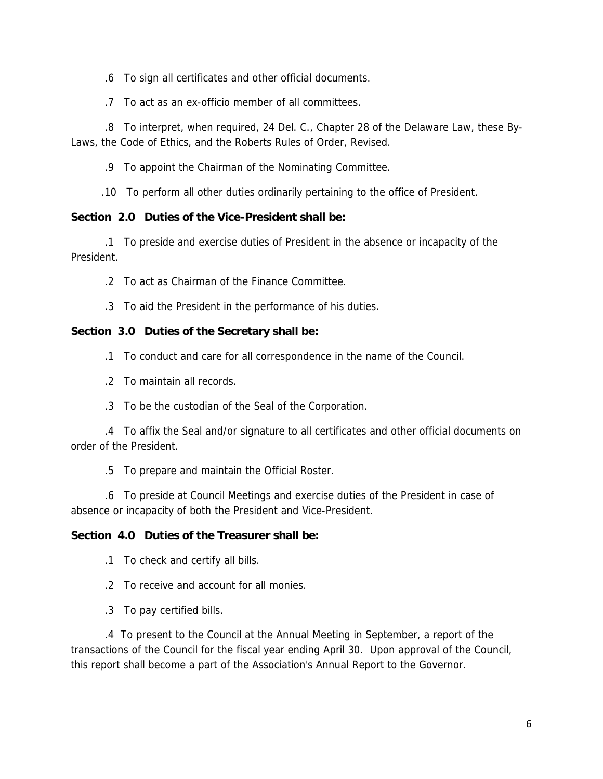- .6 To sign all certificates and other official documents.
- .7 To act as an ex-officio member of all committees.

 .8 To interpret, when required, 24 Del. C., Chapter 28 of the Delaware Law, these By-Laws, the Code of Ethics, and the Roberts Rules of Order, Revised.

.9 To appoint the Chairman of the Nominating Committee.

.10 To perform all other duties ordinarily pertaining to the office of President.

#### **Section 2.0 Duties of the Vice-President shall be:**

 .1 To preside and exercise duties of President in the absence or incapacity of the President.

- .2 To act as Chairman of the Finance Committee.
- .3 To aid the President in the performance of his duties.

#### **Section 3.0 Duties of the Secretary shall be:**

- .1 To conduct and care for all correspondence in the name of the Council.
- .2 To maintain all records.
- .3 To be the custodian of the Seal of the Corporation.

 .4 To affix the Seal and/or signature to all certificates and other official documents on order of the President.

.5 To prepare and maintain the Official Roster.

 .6 To preside at Council Meetings and exercise duties of the President in case of absence or incapacity of both the President and Vice-President.

#### **Section 4.0 Duties of the Treasurer shall be:**

- .1 To check and certify all bills.
- .2 To receive and account for all monies.
- .3 To pay certified bills.

 .4 To present to the Council at the Annual Meeting in September, a report of the transactions of the Council for the fiscal year ending April 30. Upon approval of the Council, this report shall become a part of the Association's Annual Report to the Governor.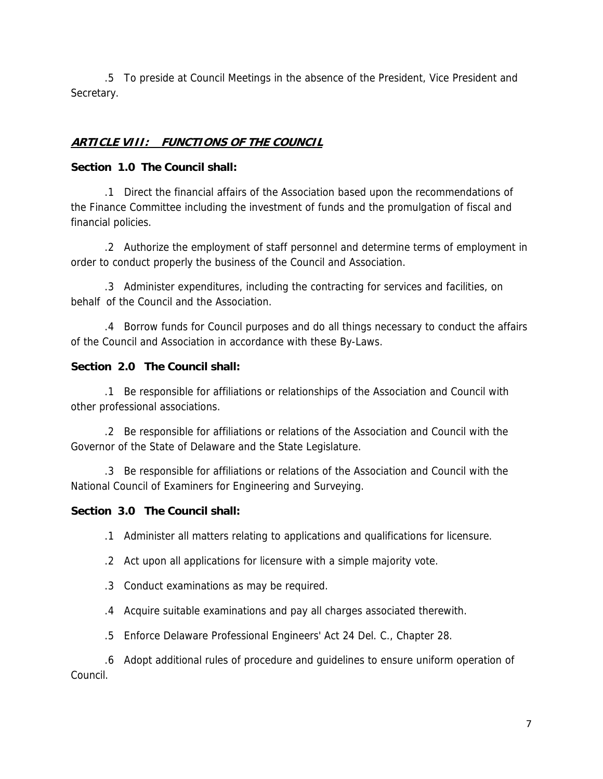.5 To preside at Council Meetings in the absence of the President, Vice President and Secretary.

# **ARTICLE VIII: FUNCTIONS OF THE COUNCIL**

### **Section 1.0 The Council shall:**

 .1 Direct the financial affairs of the Association based upon the recommendations of the Finance Committee including the investment of funds and the promulgation of fiscal and financial policies.

 .2 Authorize the employment of staff personnel and determine terms of employment in order to conduct properly the business of the Council and Association.

 .3 Administer expenditures, including the contracting for services and facilities, on behalf of the Council and the Association.

 .4 Borrow funds for Council purposes and do all things necessary to conduct the affairs of the Council and Association in accordance with these By-Laws.

### **Section 2.0 The Council shall:**

 .1 Be responsible for affiliations or relationships of the Association and Council with other professional associations.

 .2 Be responsible for affiliations or relations of the Association and Council with the Governor of the State of Delaware and the State Legislature.

 .3 Be responsible for affiliations or relations of the Association and Council with the National Council of Examiners for Engineering and Surveying.

# **Section 3.0 The Council shall:**

.1 Administer all matters relating to applications and qualifications for licensure.

- .2 Act upon all applications for licensure with a simple majority vote.
- .3 Conduct examinations as may be required.
- .4 Acquire suitable examinations and pay all charges associated therewith.
- .5 Enforce Delaware Professional Engineers' Act 24 Del. C., Chapter 28.

 .6 Adopt additional rules of procedure and guidelines to ensure uniform operation of Council.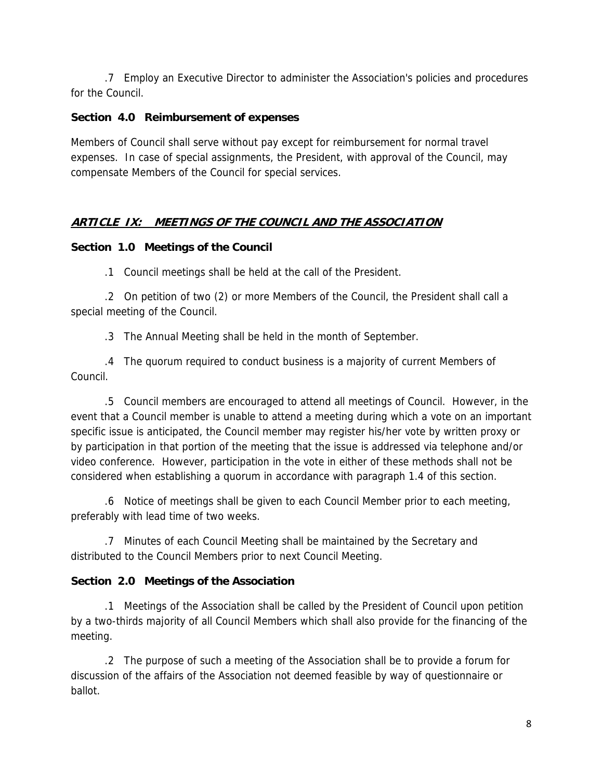.7 Employ an Executive Director to administer the Association's policies and procedures for the Council.

### **Section 4.0 Reimbursement of expenses**

Members of Council shall serve without pay except for reimbursement for normal travel expenses. In case of special assignments, the President, with approval of the Council, may compensate Members of the Council for special services.

# **ARTICLE IX: MEETINGS OF THE COUNCIL AND THE ASSOCIATION**

### **Section 1.0 Meetings of the Council**

.1 Council meetings shall be held at the call of the President.

 .2 On petition of two (2) or more Members of the Council, the President shall call a special meeting of the Council.

.3 The Annual Meeting shall be held in the month of September.

 .4 The quorum required to conduct business is a majority of current Members of Council.

 .5 Council members are encouraged to attend all meetings of Council. However, in the event that a Council member is unable to attend a meeting during which a vote on an important specific issue is anticipated, the Council member may register his/her vote by written proxy or by participation in that portion of the meeting that the issue is addressed via telephone and/or video conference. However, participation in the vote in either of these methods shall not be considered when establishing a quorum in accordance with paragraph 1.4 of this section.

 .6 Notice of meetings shall be given to each Council Member prior to each meeting, preferably with lead time of two weeks.

 .7 Minutes of each Council Meeting shall be maintained by the Secretary and distributed to the Council Members prior to next Council Meeting.

# **Section 2.0 Meetings of the Association**

 .1 Meetings of the Association shall be called by the President of Council upon petition by a two-thirds majority of all Council Members which shall also provide for the financing of the meeting.

 .2 The purpose of such a meeting of the Association shall be to provide a forum for discussion of the affairs of the Association not deemed feasible by way of questionnaire or ballot.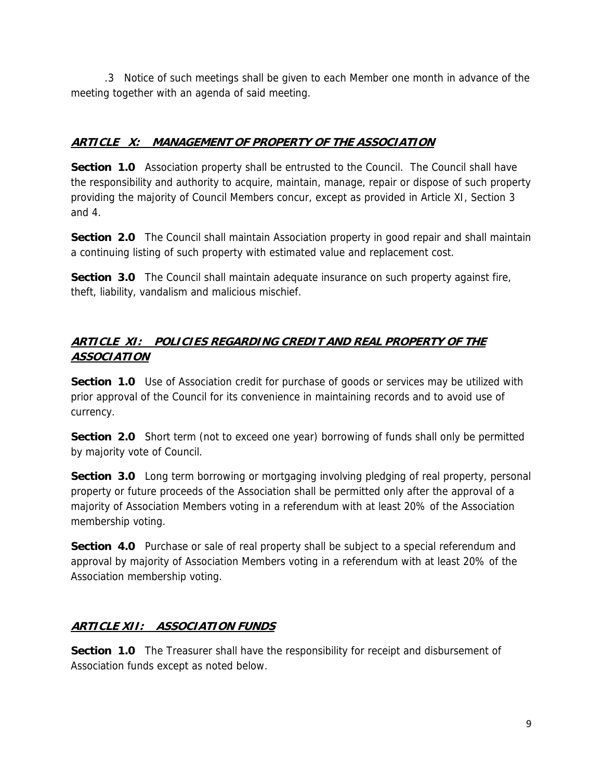.3 Notice of such meetings shall be given to each Member one month in advance of the meeting together with an agenda of said meeting.

# **ARTICLE X: MANAGEMENT OF PROPERTY OF THE ASSOCIATION**

**Section 1.0** Association property shall be entrusted to the Council. The Council shall have the responsibility and authority to acquire, maintain, manage, repair or dispose of such property providing the majority of Council Members concur, except as provided in Article XI, Section 3 and 4.

**Section 2.0** The Council shall maintain Association property in good repair and shall maintain a continuing listing of such property with estimated value and replacement cost.

**Section 3.0** The Council shall maintain adequate insurance on such property against fire, theft, liability, vandalism and malicious mischief.

## **ARTICLE XI: POLICIES REGARDING CREDIT AND REAL PROPERTY OF THE ASSOCIATION**

**Section 1.0** Use of Association credit for purchase of goods or services may be utilized with prior approval of the Council for its convenience in maintaining records and to avoid use of currency.

**Section 2.0** Short term (not to exceed one year) borrowing of funds shall only be permitted by majority vote of Council.

**Section 3.0** Long term borrowing or mortgaging involving pledging of real property, personal property or future proceeds of the Association shall be permitted only after the approval of a majority of Association Members voting in a referendum with at least 20% of the Association membership voting.

**Section 4.0** Purchase or sale of real property shall be subject to a special referendum and approval by majority of Association Members voting in a referendum with at least 20% of the Association membership voting.

# **ARTICLE XII: ASSOCIATION FUNDS**

**Section 1.0** The Treasurer shall have the responsibility for receipt and disbursement of Association funds except as noted below.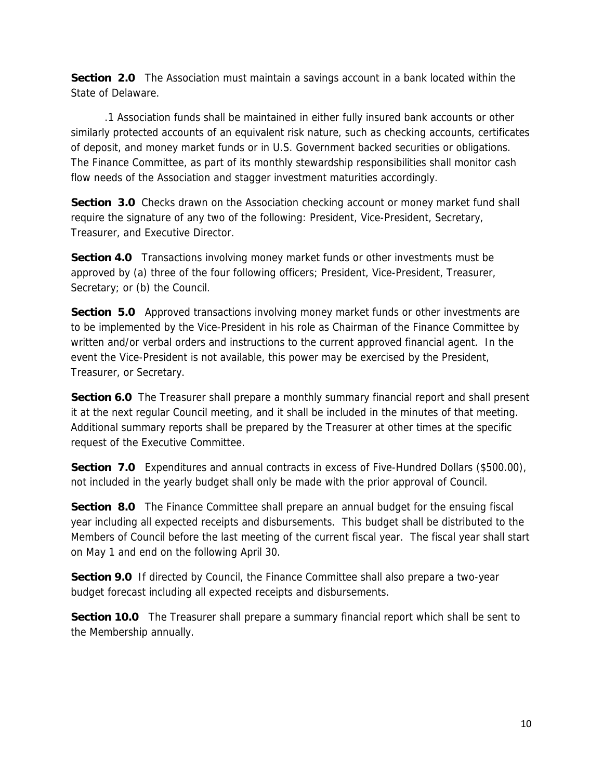**Section 2.0** The Association must maintain a savings account in a bank located within the State of Delaware.

 .1 Association funds shall be maintained in either fully insured bank accounts or other similarly protected accounts of an equivalent risk nature, such as checking accounts, certificates of deposit, and money market funds or in U.S. Government backed securities or obligations. The Finance Committee, as part of its monthly stewardship responsibilities shall monitor cash flow needs of the Association and stagger investment maturities accordingly.

**Section 3.0** Checks drawn on the Association checking account or money market fund shall require the signature of any two of the following: President, Vice-President, Secretary, Treasurer, and Executive Director.

**Section 4.0** Transactions involving money market funds or other investments must be approved by (a) three of the four following officers; President, Vice-President, Treasurer, Secretary; or (b) the Council.

**Section 5.0** Approved transactions involving money market funds or other investments are to be implemented by the Vice-President in his role as Chairman of the Finance Committee by written and/or verbal orders and instructions to the current approved financial agent. In the event the Vice-President is not available, this power may be exercised by the President, Treasurer, or Secretary.

**Section 6.0** The Treasurer shall prepare a monthly summary financial report and shall present it at the next regular Council meeting, and it shall be included in the minutes of that meeting. Additional summary reports shall be prepared by the Treasurer at other times at the specific request of the Executive Committee.

**Section 7.0** Expenditures and annual contracts in excess of Five-Hundred Dollars (\$500.00), not included in the yearly budget shall only be made with the prior approval of Council.

**Section 8.0** The Finance Committee shall prepare an annual budget for the ensuing fiscal year including all expected receipts and disbursements. This budget shall be distributed to the Members of Council before the last meeting of the current fiscal year. The fiscal year shall start on May 1 and end on the following April 30.

**Section 9.0** If directed by Council, the Finance Committee shall also prepare a two-year budget forecast including all expected receipts and disbursements.

**Section 10.0** The Treasurer shall prepare a summary financial report which shall be sent to the Membership annually.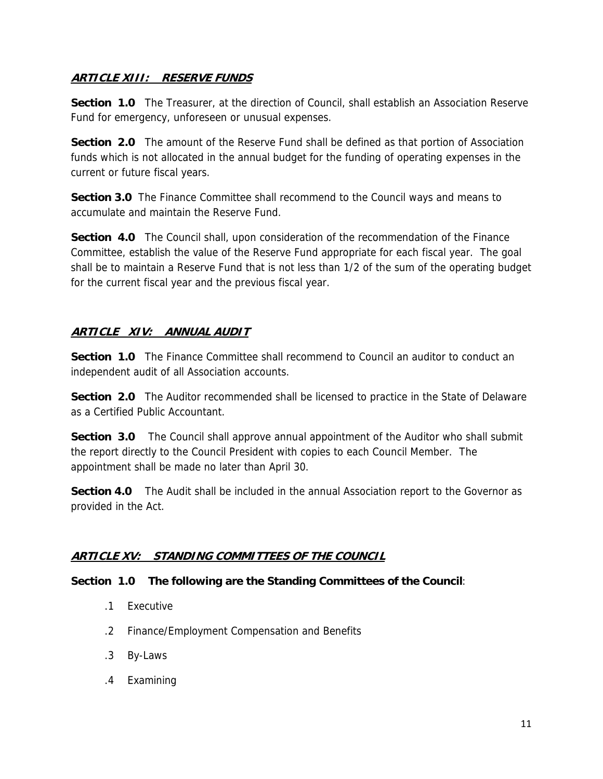### **ARTICLE XIII: RESERVE FUNDS**

**Section 1.0** The Treasurer, at the direction of Council, shall establish an Association Reserve Fund for emergency, unforeseen or unusual expenses.

**Section 2.0** The amount of the Reserve Fund shall be defined as that portion of Association funds which is not allocated in the annual budget for the funding of operating expenses in the current or future fiscal years.

**Section 3.0** The Finance Committee shall recommend to the Council ways and means to accumulate and maintain the Reserve Fund.

**Section 4.0** The Council shall, upon consideration of the recommendation of the Finance Committee, establish the value of the Reserve Fund appropriate for each fiscal year. The goal shall be to maintain a Reserve Fund that is not less than 1/2 of the sum of the operating budget for the current fiscal year and the previous fiscal year.

# **ARTICLE XIV: ANNUAL AUDIT**

**Section 1.0** The Finance Committee shall recommend to Council an auditor to conduct an independent audit of all Association accounts.

**Section 2.0** The Auditor recommended shall be licensed to practice in the State of Delaware as a Certified Public Accountant.

**Section 3.0** The Council shall approve annual appointment of the Auditor who shall submit the report directly to the Council President with copies to each Council Member. The appointment shall be made no later than April 30.

**Section 4.0** The Audit shall be included in the annual Association report to the Governor as provided in the Act.

# **ARTICLE XV: STANDING COMMITTEES OF THE COUNCIL**

### **Section 1.0 The following are the Standing Committees of the Council**:

- .1 Executive
- .2 Finance/Employment Compensation and Benefits
- .3 By-Laws
- .4 Examining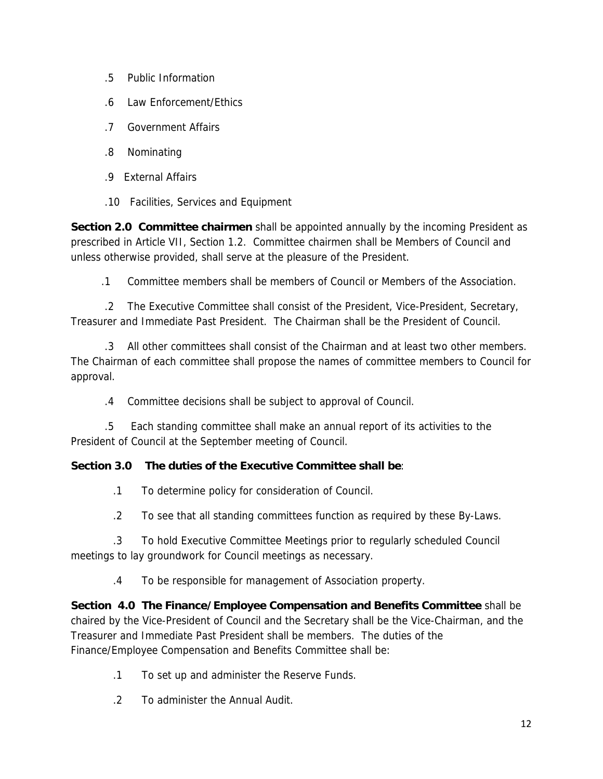- .5 Public Information
- .6 Law Enforcement/Ethics
- .7 Government Affairs
- .8 Nominating
- .9 External Affairs
- .10 Facilities, Services and Equipment

**Section 2.0 Committee chairmen** shall be appointed annually by the incoming President as prescribed in Article VII, Section 1.2. Committee chairmen shall be Members of Council and unless otherwise provided, shall serve at the pleasure of the President.

.1 Committee members shall be members of Council or Members of the Association.

 .2 The Executive Committee shall consist of the President, Vice-President, Secretary, Treasurer and Immediate Past President. The Chairman shall be the President of Council.

 .3 All other committees shall consist of the Chairman and at least two other members. The Chairman of each committee shall propose the names of committee members to Council for approval.

.4 Committee decisions shall be subject to approval of Council.

 .5 Each standing committee shall make an annual report of its activities to the President of Council at the September meeting of Council.

# **Section 3.0 The duties of the Executive Committee shall be**:

.1 To determine policy for consideration of Council.

.2 To see that all standing committees function as required by these By-Laws.

 .3 To hold Executive Committee Meetings prior to regularly scheduled Council meetings to lay groundwork for Council meetings as necessary.

.4 To be responsible for management of Association property.

**Section 4.0 The Finance/Employee Compensation and Benefits Committee** shall be chaired by the Vice-President of Council and the Secretary shall be the Vice-Chairman, and the Treasurer and Immediate Past President shall be members. The duties of the Finance/Employee Compensation and Benefits Committee shall be:

- .1 To set up and administer the Reserve Funds.
- .2 To administer the Annual Audit.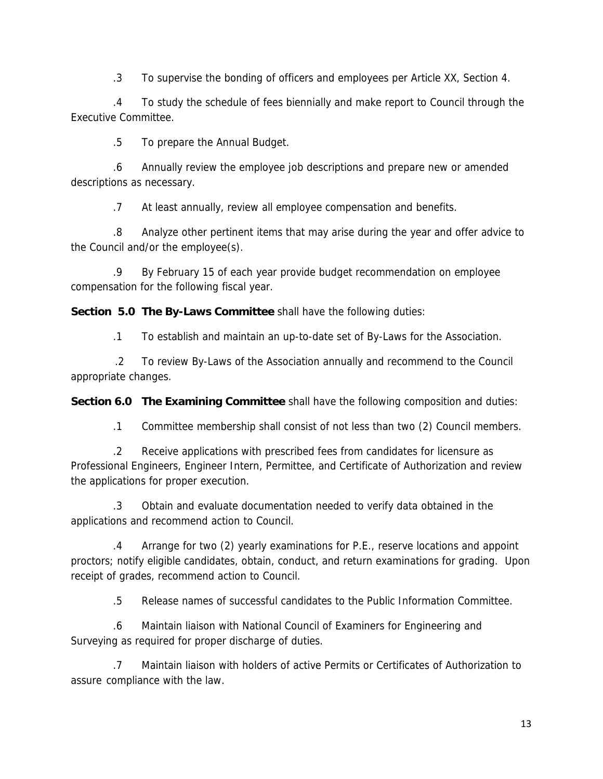.3 To supervise the bonding of officers and employees per Article XX, Section 4.

 .4 To study the schedule of fees biennially and make report to Council through the Executive Committee.

.5 To prepare the Annual Budget.

 .6 Annually review the employee job descriptions and prepare new or amended descriptions as necessary.

.7 At least annually, review all employee compensation and benefits.

 .8 Analyze other pertinent items that may arise during the year and offer advice to the Council and/or the employee(s).

 .9 By February 15 of each year provide budget recommendation on employee compensation for the following fiscal year.

**Section 5.0 The By-Laws Committee** shall have the following duties:

.1 To establish and maintain an up-to-date set of By-Laws for the Association.

 .2 To review By-Laws of the Association annually and recommend to the Council appropriate changes.

**Section 6.0 The Examining Committee** shall have the following composition and duties:

.1 Committee membership shall consist of not less than two (2) Council members.

 .2 Receive applications with prescribed fees from candidates for licensure as Professional Engineers, Engineer Intern, Permittee, and Certificate of Authorization and review the applications for proper execution.

 .3 Obtain and evaluate documentation needed to verify data obtained in the applications and recommend action to Council.

 .4 Arrange for two (2) yearly examinations for P.E., reserve locations and appoint proctors; notify eligible candidates, obtain, conduct, and return examinations for grading. Upon receipt of grades, recommend action to Council.

.5 Release names of successful candidates to the Public Information Committee.

 .6 Maintain liaison with National Council of Examiners for Engineering and Surveying as required for proper discharge of duties.

 .7 Maintain liaison with holders of active Permits or Certificates of Authorization to assure compliance with the law.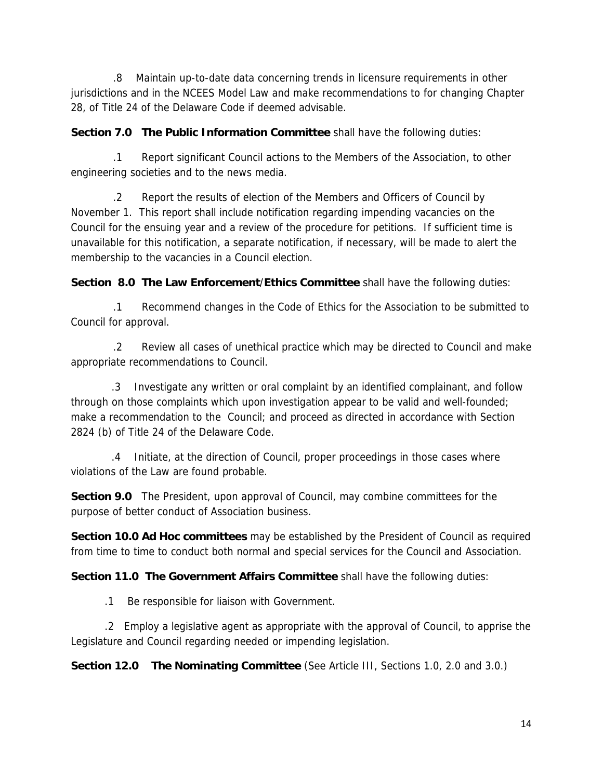.8 Maintain up-to-date data concerning trends in licensure requirements in other jurisdictions and in the NCEES Model Law and make recommendations to for changing Chapter 28, of Title 24 of the Delaware Code if deemed advisable.

**Section 7.0 The Public Information Committee** shall have the following duties:

 .1 Report significant Council actions to the Members of the Association, to other engineering societies and to the news media.

 .2 Report the results of election of the Members and Officers of Council by November 1. This report shall include notification regarding impending vacancies on the Council for the ensuing year and a review of the procedure for petitions. If sufficient time is unavailable for this notification, a separate notification, if necessary, will be made to alert the membership to the vacancies in a Council election.

**Section 8.0 The Law Enforcement**/**Ethics Committee** shall have the following duties:

 .1 Recommend changes in the Code of Ethics for the Association to be submitted to Council for approval.

 .2 Review all cases of unethical practice which may be directed to Council and make appropriate recommendations to Council.

 .3 Investigate any written or oral complaint by an identified complainant, and follow through on those complaints which upon investigation appear to be valid and well-founded; make a recommendation to the Council; and proceed as directed in accordance with Section 2824 (b) of Title 24 of the Delaware Code.

 .4 Initiate, at the direction of Council, proper proceedings in those cases where violations of the Law are found probable.

**Section 9.0** The President, upon approval of Council, may combine committees for the purpose of better conduct of Association business.

**Section 10.0 Ad Hoc committees** may be established by the President of Council as required from time to time to conduct both normal and special services for the Council and Association.

**Section 11.0 The Government Affairs Committee** shall have the following duties:

.1 Be responsible for liaison with Government.

 .2 Employ a legislative agent as appropriate with the approval of Council, to apprise the Legislature and Council regarding needed or impending legislation.

**Section 12.0 The Nominating Committee** (See Article III, Sections 1.0, 2.0 and 3.0.)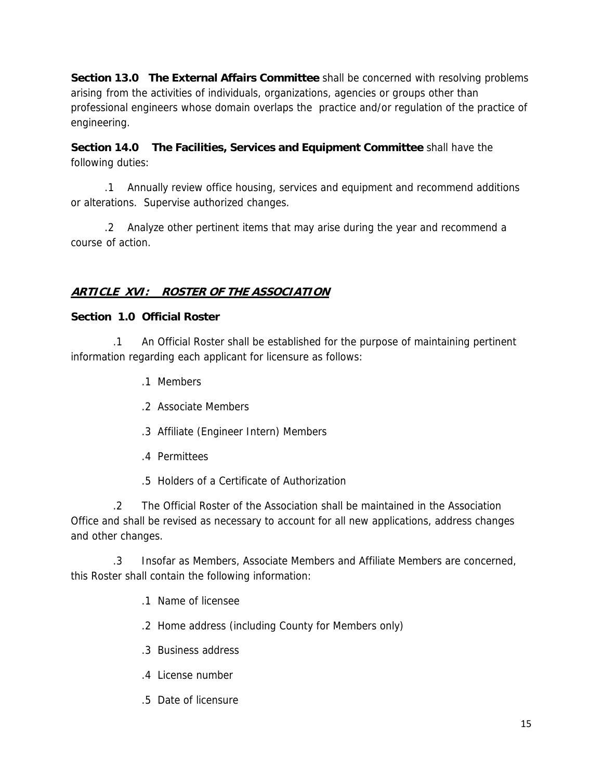**Section 13.0 The External Affairs Committee** shall be concerned with resolving problems arising from the activities of individuals, organizations, agencies or groups other than professional engineers whose domain overlaps the practice and/or regulation of the practice of engineering.

**Section 14.0 The Facilities, Services and Equipment Committee** shall have the following duties:

 .1 Annually review office housing, services and equipment and recommend additions or alterations. Supervise authorized changes.

 .2 Analyze other pertinent items that may arise during the year and recommend a course of action.

# **ARTICLE XVI: ROSTER OF THE ASSOCIATION**

### **Section 1.0 Official Roster**

 .1 An Official Roster shall be established for the purpose of maintaining pertinent information regarding each applicant for licensure as follows:

- .1 Members
- .2 Associate Members
- .3 Affiliate (Engineer Intern) Members
- .4 Permittees
- .5 Holders of a Certificate of Authorization

 .2 The Official Roster of the Association shall be maintained in the Association Office and shall be revised as necessary to account for all new applications, address changes and other changes.

 .3 Insofar as Members, Associate Members and Affiliate Members are concerned, this Roster shall contain the following information:

- .1 Name of licensee
- .2 Home address (including County for Members only)
- .3 Business address
- .4 License number
- .5 Date of licensure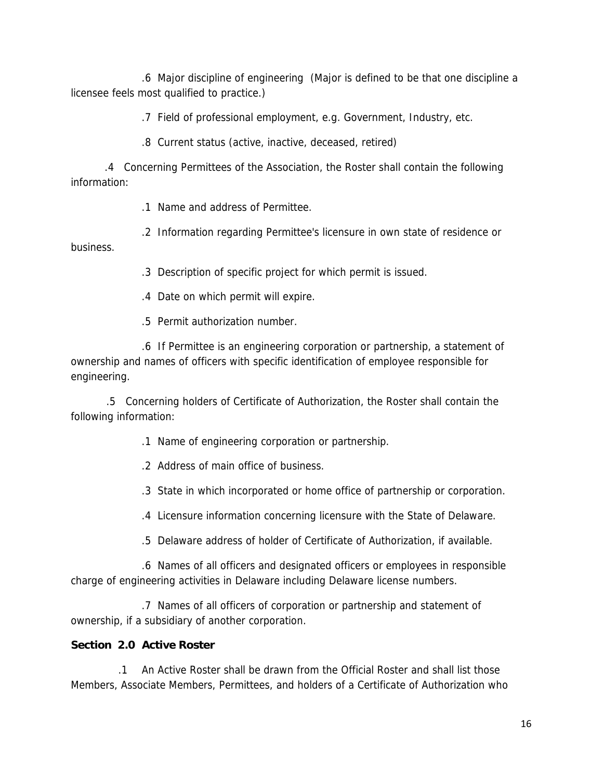.6 Major discipline of engineering (Major is defined to be that one discipline a licensee feels most qualified to practice.)

.7 Field of professional employment, e.g. Government, Industry, etc.

.8 Current status (active, inactive, deceased, retired)

 .4 Concerning Permittees of the Association, the Roster shall contain the following information:

.1 Name and address of Permittee.

 .2 Information regarding Permittee's licensure in own state of residence or business.

.3 Description of specific project for which permit is issued.

.4 Date on which permit will expire.

.5 Permit authorization number.

 .6 If Permittee is an engineering corporation or partnership, a statement of ownership and names of officers with specific identification of employee responsible for engineering.

 .5 Concerning holders of Certificate of Authorization, the Roster shall contain the following information:

.1 Name of engineering corporation or partnership.

.2 Address of main office of business.

.3 State in which incorporated or home office of partnership or corporation.

.4 Licensure information concerning licensure with the State of Delaware.

.5 Delaware address of holder of Certificate of Authorization, if available.

 .6 Names of all officers and designated officers or employees in responsible charge of engineering activities in Delaware including Delaware license numbers.

 .7 Names of all officers of corporation or partnership and statement of ownership, if a subsidiary of another corporation.

### **Section 2.0 Active Roster**

 .1 An Active Roster shall be drawn from the Official Roster and shall list those Members, Associate Members, Permittees, and holders of a Certificate of Authorization who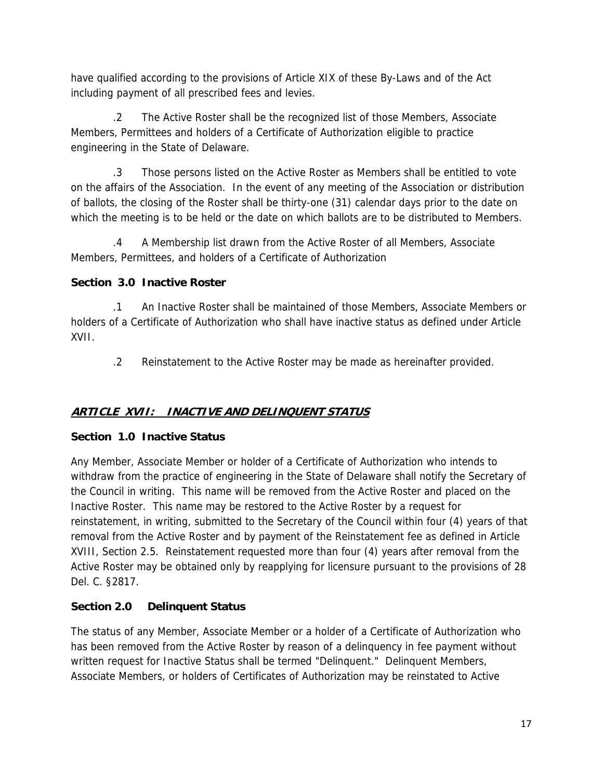have qualified according to the provisions of Article XIX of these By-Laws and of the Act including payment of all prescribed fees and levies.

 .2 The Active Roster shall be the recognized list of those Members, Associate Members, Permittees and holders of a Certificate of Authorization eligible to practice engineering in the State of Delaware.

 .3 Those persons listed on the Active Roster as Members shall be entitled to vote on the affairs of the Association. In the event of any meeting of the Association or distribution of ballots, the closing of the Roster shall be thirty-one (31) calendar days prior to the date on which the meeting is to be held or the date on which ballots are to be distributed to Members.

 .4 A Membership list drawn from the Active Roster of all Members, Associate Members, Permittees, and holders of a Certificate of Authorization

# **Section 3.0 Inactive Roster**

 .1 An Inactive Roster shall be maintained of those Members, Associate Members or holders of a Certificate of Authorization who shall have inactive status as defined under Article XVII.

.2 Reinstatement to the Active Roster may be made as hereinafter provided.

# **ARTICLE XVII: INACTIVE AND DELINQUENT STATUS**

### **Section 1.0 Inactive Status**

Any Member, Associate Member or holder of a Certificate of Authorization who intends to withdraw from the practice of engineering in the State of Delaware shall notify the Secretary of the Council in writing. This name will be removed from the Active Roster and placed on the Inactive Roster. This name may be restored to the Active Roster by a request for reinstatement, in writing, submitted to the Secretary of the Council within four (4) years of that removal from the Active Roster and by payment of the Reinstatement fee as defined in Article XVIII, Section 2.5. Reinstatement requested more than four (4) years after removal from the Active Roster may be obtained only by reapplying for licensure pursuant to the provisions of 28 Del. C. §2817.

# **Section 2.0 Delinquent Status**

The status of any Member, Associate Member or a holder of a Certificate of Authorization who has been removed from the Active Roster by reason of a delinquency in fee payment without written request for Inactive Status shall be termed "Delinquent." Delinquent Members, Associate Members, or holders of Certificates of Authorization may be reinstated to Active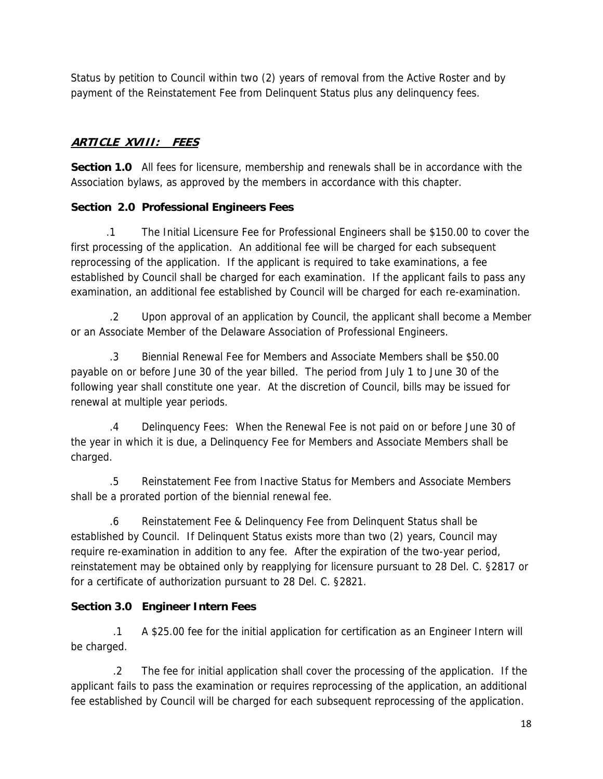Status by petition to Council within two (2) years of removal from the Active Roster and by payment of the Reinstatement Fee from Delinquent Status plus any delinquency fees.

# **ARTICLE XVIII: FEES**

**Section 1.0** All fees for licensure, membership and renewals shall be in accordance with the Association bylaws, as approved by the members in accordance with this chapter.

# **Section 2.0 Professional Engineers Fees**

 .1 The Initial Licensure Fee for Professional Engineers shall be \$150.00 to cover the first processing of the application. An additional fee will be charged for each subsequent reprocessing of the application. If the applicant is required to take examinations, a fee established by Council shall be charged for each examination. If the applicant fails to pass any examination, an additional fee established by Council will be charged for each re-examination.

 .2 Upon approval of an application by Council, the applicant shall become a Member or an Associate Member of the Delaware Association of Professional Engineers.

 .3 Biennial Renewal Fee for Members and Associate Members shall be \$50.00 payable on or before June 30 of the year billed. The period from July 1 to June 30 of the following year shall constitute one year. At the discretion of Council, bills may be issued for renewal at multiple year periods.

 .4 Delinquency Fees: When the Renewal Fee is not paid on or before June 30 of the year in which it is due, a Delinquency Fee for Members and Associate Members shall be charged.

 .5 Reinstatement Fee from Inactive Status for Members and Associate Members shall be a prorated portion of the biennial renewal fee.

 .6 Reinstatement Fee & Delinquency Fee from Delinquent Status shall be established by Council. If Delinquent Status exists more than two (2) years, Council may require re-examination in addition to any fee. After the expiration of the two-year period, reinstatement may be obtained only by reapplying for licensure pursuant to 28 Del. C. §2817 or for a certificate of authorization pursuant to 28 Del. C. §2821.

# **Section 3.0 Engineer Intern Fees**

 .1 A \$25.00 fee for the initial application for certification as an Engineer Intern will be charged.

 .2 The fee for initial application shall cover the processing of the application. If the applicant fails to pass the examination or requires reprocessing of the application, an additional fee established by Council will be charged for each subsequent reprocessing of the application.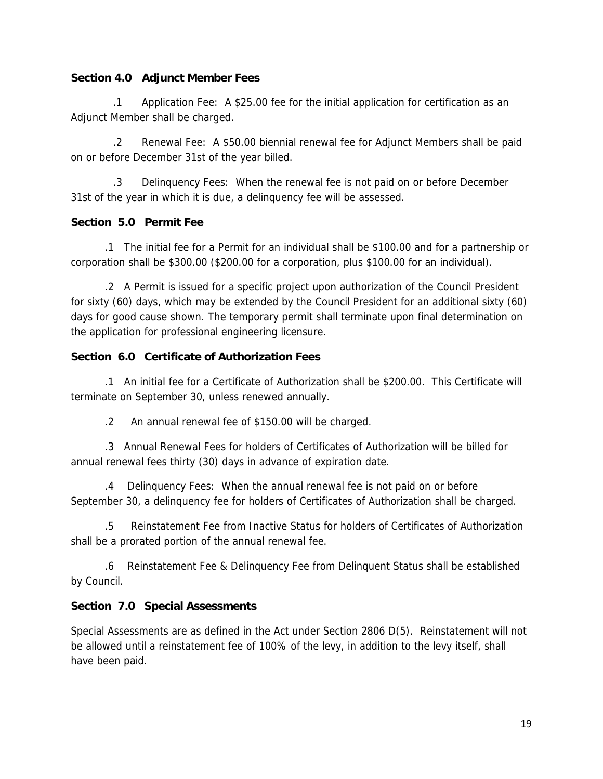### **Section 4.0 Adjunct Member Fees**

 .1 Application Fee: A \$25.00 fee for the initial application for certification as an Adjunct Member shall be charged.

 .2 Renewal Fee: A \$50.00 biennial renewal fee for Adjunct Members shall be paid on or before December 31st of the year billed.

 .3 Delinquency Fees: When the renewal fee is not paid on or before December 31st of the year in which it is due, a delinquency fee will be assessed.

### **Section 5.0 Permit Fee**

 .1 The initial fee for a Permit for an individual shall be \$100.00 and for a partnership or corporation shall be \$300.00 (\$200.00 for a corporation, plus \$100.00 for an individual).

 .2 A Permit is issued for a specific project upon authorization of the Council President for sixty (60) days, which may be extended by the Council President for an additional sixty (60) days for good cause shown. The temporary permit shall terminate upon final determination on the application for professional engineering licensure.

#### **Section 6.0 Certificate of Authorization Fees**

 .1 An initial fee for a Certificate of Authorization shall be \$200.00. This Certificate will terminate on September 30, unless renewed annually.

.2 An annual renewal fee of \$150.00 will be charged.

 .3 Annual Renewal Fees for holders of Certificates of Authorization will be billed for annual renewal fees thirty (30) days in advance of expiration date.

 .4 Delinquency Fees: When the annual renewal fee is not paid on or before September 30, a delinquency fee for holders of Certificates of Authorization shall be charged.

 .5 Reinstatement Fee from Inactive Status for holders of Certificates of Authorization shall be a prorated portion of the annual renewal fee.

 .6 Reinstatement Fee & Delinquency Fee from Delinquent Status shall be established by Council.

### **Section 7.0 Special Assessments**

Special Assessments are as defined in the Act under Section 2806 D(5). Reinstatement will not be allowed until a reinstatement fee of 100% of the levy, in addition to the levy itself, shall have been paid.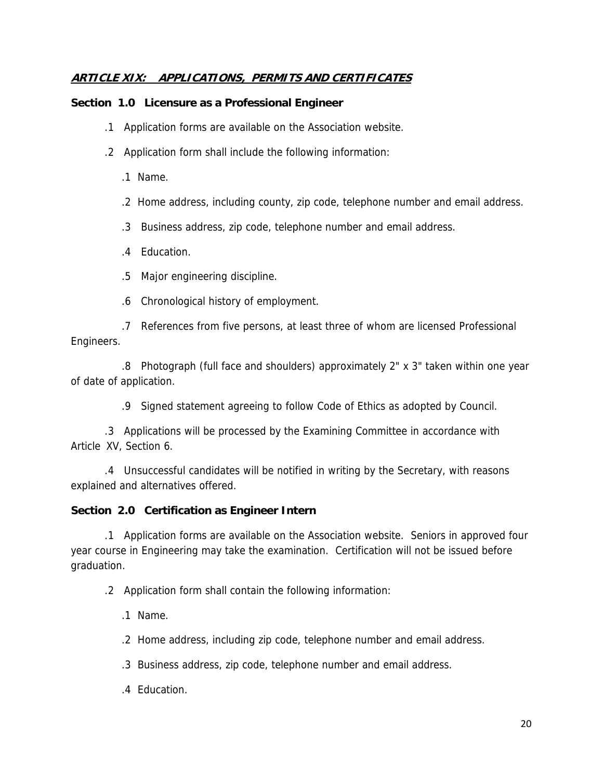### **ARTICLE XIX: APPLICATIONS, PERMITS AND CERTIFICATES**

#### **Section 1.0 Licensure as a Professional Engineer**

- .1 Application forms are available on the Association website.
- .2 Application form shall include the following information:
	- .1 Name.
	- .2 Home address, including county, zip code, telephone number and email address.
	- .3 Business address, zip code, telephone number and email address.
	- .4 Education.
	- .5 Major engineering discipline.
	- .6 Chronological history of employment.

 .7 References from five persons, at least three of whom are licensed Professional Engineers.

 .8 Photograph (full face and shoulders) approximately 2" x 3" taken within one year of date of application.

.9 Signed statement agreeing to follow Code of Ethics as adopted by Council.

 .3 Applications will be processed by the Examining Committee in accordance with Article XV, Section 6.

 .4 Unsuccessful candidates will be notified in writing by the Secretary, with reasons explained and alternatives offered.

### **Section 2.0 Certification as Engineer Intern**

 .1 Application forms are available on the Association website. Seniors in approved four year course in Engineering may take the examination. Certification will not be issued before graduation.

.2 Application form shall contain the following information:

.1 Name.

.2 Home address, including zip code, telephone number and email address.

.3 Business address, zip code, telephone number and email address.

.4 Education.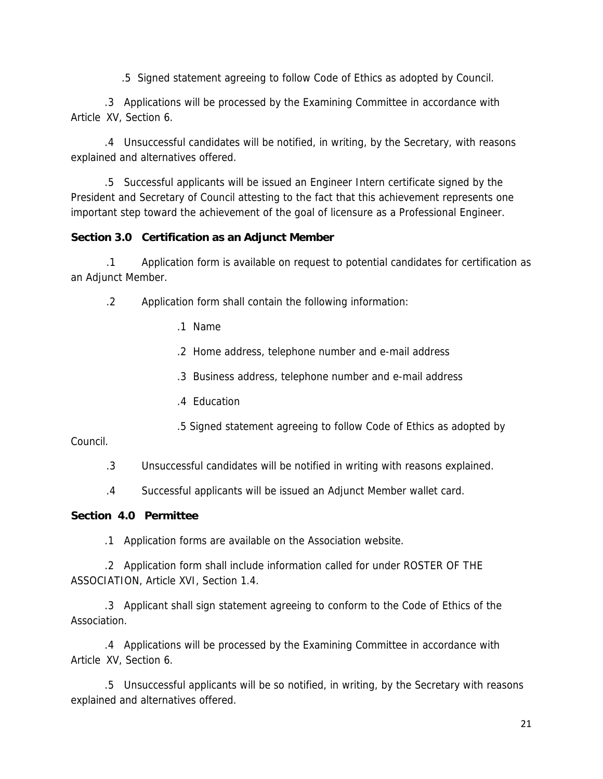.5 Signed statement agreeing to follow Code of Ethics as adopted by Council.

 .3 Applications will be processed by the Examining Committee in accordance with Article XV, Section 6.

 .4 Unsuccessful candidates will be notified, in writing, by the Secretary, with reasons explained and alternatives offered.

 .5 Successful applicants will be issued an Engineer Intern certificate signed by the President and Secretary of Council attesting to the fact that this achievement represents one important step toward the achievement of the goal of licensure as a Professional Engineer.

### **Section 3.0 Certification as an Adjunct Member**

 .1 Application form is available on request to potential candidates for certification as an Adjunct Member.

- .2 Application form shall contain the following information:
	- .1 Name
	- .2 Home address, telephone number and e-mail address
	- .3 Business address, telephone number and e-mail address
	- .4 Education
	- .5 Signed statement agreeing to follow Code of Ethics as adopted by

Council.

- .3 Unsuccessful candidates will be notified in writing with reasons explained.
- .4 Successful applicants will be issued an Adjunct Member wallet card.

### **Section 4.0 Permittee**

.1 Application forms are available on the Association website.

 .2 Application form shall include information called for under ROSTER OF THE ASSOCIATION, Article XVI, Section 1.4.

 .3 Applicant shall sign statement agreeing to conform to the Code of Ethics of the Association.

 .4 Applications will be processed by the Examining Committee in accordance with Article XV, Section 6.

 .5 Unsuccessful applicants will be so notified, in writing, by the Secretary with reasons explained and alternatives offered.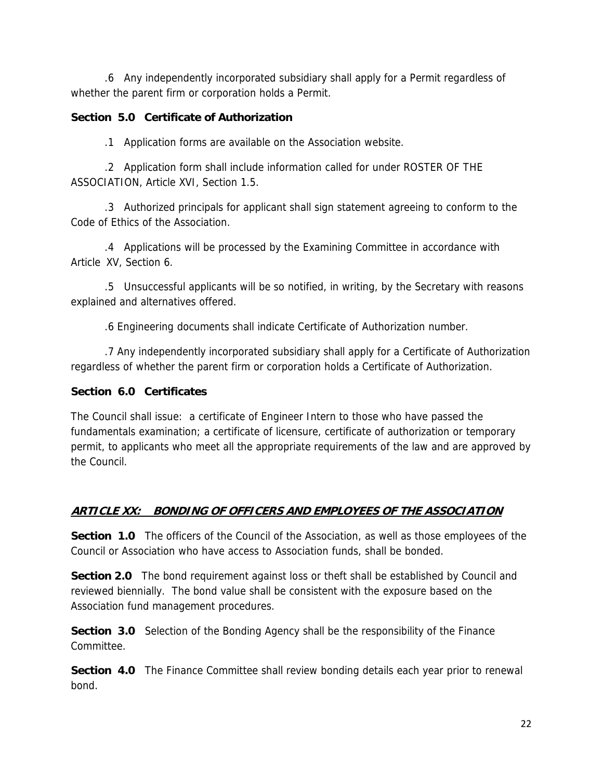.6 Any independently incorporated subsidiary shall apply for a Permit regardless of whether the parent firm or corporation holds a Permit.

### **Section 5.0 Certificate of Authorization**

.1 Application forms are available on the Association website.

 .2 Application form shall include information called for under ROSTER OF THE ASSOCIATION, Article XVI, Section 1.5.

 .3 Authorized principals for applicant shall sign statement agreeing to conform to the Code of Ethics of the Association.

 .4 Applications will be processed by the Examining Committee in accordance with Article XV, Section 6.

 .5 Unsuccessful applicants will be so notified, in writing, by the Secretary with reasons explained and alternatives offered.

.6 Engineering documents shall indicate Certificate of Authorization number.

 .7 Any independently incorporated subsidiary shall apply for a Certificate of Authorization regardless of whether the parent firm or corporation holds a Certificate of Authorization.

## **Section 6.0 Certificates**

The Council shall issue: a certificate of Engineer Intern to those who have passed the fundamentals examination; a certificate of licensure, certificate of authorization or temporary permit, to applicants who meet all the appropriate requirements of the law and are approved by the Council.

# **ARTICLE XX: BONDING OF OFFICERS AND EMPLOYEES OF THE ASSOCIATION**

**Section 1.0** The officers of the Council of the Association, as well as those employees of the Council or Association who have access to Association funds, shall be bonded.

**Section 2.0** The bond requirement against loss or theft shall be established by Council and reviewed biennially. The bond value shall be consistent with the exposure based on the Association fund management procedures.

**Section 3.0** Selection of the Bonding Agency shall be the responsibility of the Finance Committee.

**Section 4.0** The Finance Committee shall review bonding details each year prior to renewal bond.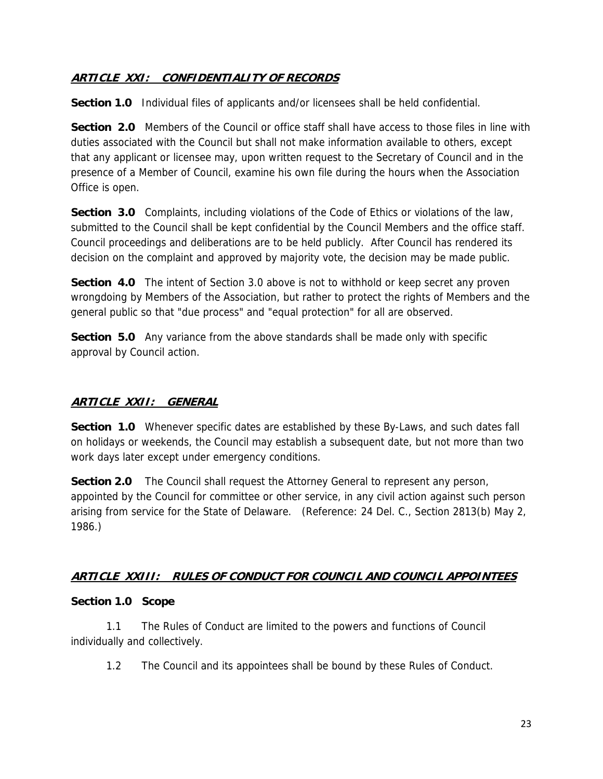## **ARTICLE XXI: CONFIDENTIALITY OF RECORDS**

**Section 1.0** Individual files of applicants and/or licensees shall be held confidential.

**Section 2.0** Members of the Council or office staff shall have access to those files in line with duties associated with the Council but shall not make information available to others, except that any applicant or licensee may, upon written request to the Secretary of Council and in the presence of a Member of Council, examine his own file during the hours when the Association Office is open.

**Section 3.0** Complaints, including violations of the Code of Ethics or violations of the law, submitted to the Council shall be kept confidential by the Council Members and the office staff. Council proceedings and deliberations are to be held publicly. After Council has rendered its decision on the complaint and approved by majority vote, the decision may be made public.

**Section 4.0** The intent of Section 3.0 above is not to withhold or keep secret any proven wrongdoing by Members of the Association, but rather to protect the rights of Members and the general public so that "due process" and "equal protection" for all are observed.

**Section 5.0** Any variance from the above standards shall be made only with specific approval by Council action.

# **ARTICLE XXII: GENERAL**

**Section 1.0** Whenever specific dates are established by these By-Laws, and such dates fall on holidays or weekends, the Council may establish a subsequent date, but not more than two work days later except under emergency conditions.

**Section 2.0** The Council shall request the Attorney General to represent any person, appointed by the Council for committee or other service, in any civil action against such person arising from service for the State of Delaware. (Reference: 24 Del. C., Section 2813(b) May 2, 1986.)

### **ARTICLE XXIII: RULES OF CONDUCT FOR COUNCIL AND COUNCIL APPOINTEES**

### **Section 1.0 Scope**

 1.1 The Rules of Conduct are limited to the powers and functions of Council individually and collectively.

1.2 The Council and its appointees shall be bound by these Rules of Conduct.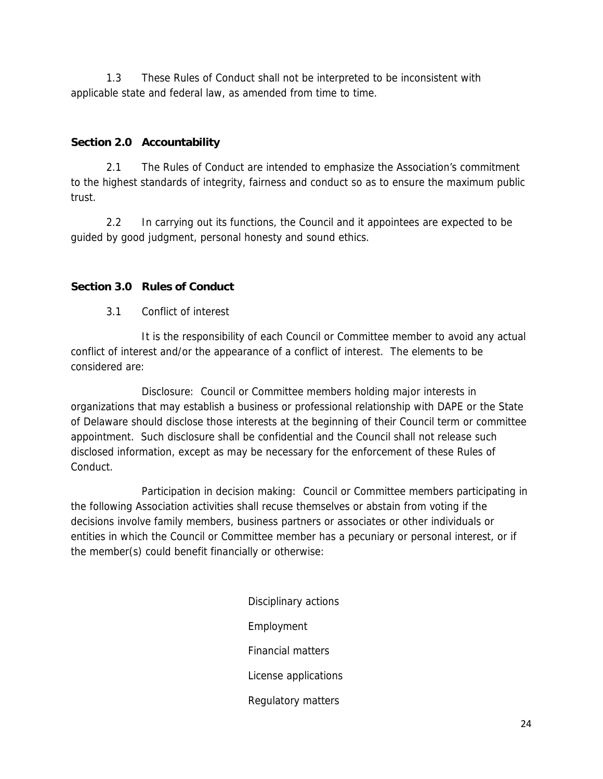1.3 These Rules of Conduct shall not be interpreted to be inconsistent with applicable state and federal law, as amended from time to time.

### **Section 2.0 Accountability**

 2.1 The Rules of Conduct are intended to emphasize the Association's commitment to the highest standards of integrity, fairness and conduct so as to ensure the maximum public trust.

 2.2 In carrying out its functions, the Council and it appointees are expected to be guided by good judgment, personal honesty and sound ethics.

# **Section 3.0 Rules of Conduct**

3.1 Conflict of interest

 It is the responsibility of each Council or Committee member to avoid any actual conflict of interest and/or the appearance of a conflict of interest. The elements to be considered are:

 Disclosure: Council or Committee members holding major interests in organizations that may establish a business or professional relationship with DAPE or the State of Delaware should disclose those interests at the beginning of their Council term or committee appointment. Such disclosure shall be confidential and the Council shall not release such disclosed information, except as may be necessary for the enforcement of these Rules of Conduct.

 Participation in decision making: Council or Committee members participating in the following Association activities shall recuse themselves or abstain from voting if the decisions involve family members, business partners or associates or other individuals or entities in which the Council or Committee member has a pecuniary or personal interest, or if the member(s) could benefit financially or otherwise:

> Disciplinary actions Employment Financial matters License applications Regulatory matters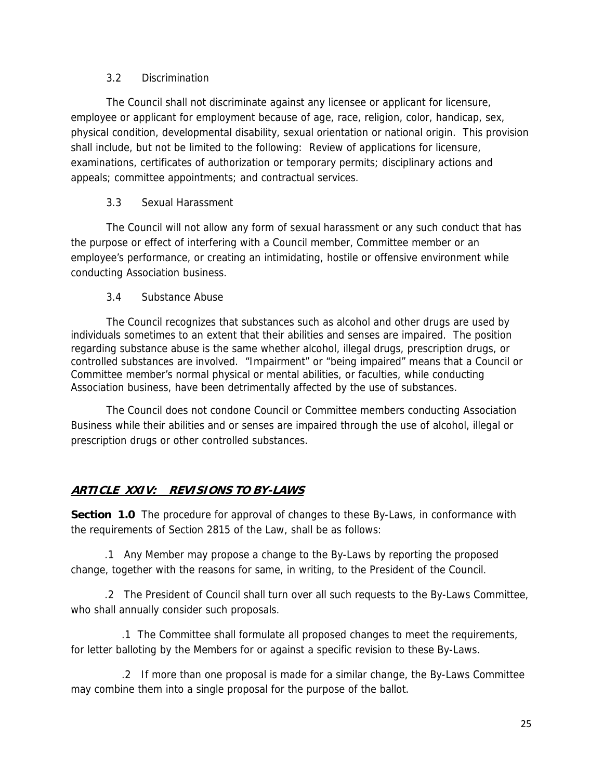### 3.2 Discrimination

 The Council shall not discriminate against any licensee or applicant for licensure, employee or applicant for employment because of age, race, religion, color, handicap, sex, physical condition, developmental disability, sexual orientation or national origin. This provision shall include, but not be limited to the following: Review of applications for licensure, examinations, certificates of authorization or temporary permits; disciplinary actions and appeals; committee appointments; and contractual services.

### 3.3 Sexual Harassment

 The Council will not allow any form of sexual harassment or any such conduct that has the purpose or effect of interfering with a Council member, Committee member or an employee's performance, or creating an intimidating, hostile or offensive environment while conducting Association business.

#### 3.4 Substance Abuse

 The Council recognizes that substances such as alcohol and other drugs are used by individuals sometimes to an extent that their abilities and senses are impaired. The position regarding substance abuse is the same whether alcohol, illegal drugs, prescription drugs, or controlled substances are involved. "Impairment" or "being impaired" means that a Council or Committee member's normal physical or mental abilities, or faculties, while conducting Association business, have been detrimentally affected by the use of substances.

 The Council does not condone Council or Committee members conducting Association Business while their abilities and or senses are impaired through the use of alcohol, illegal or prescription drugs or other controlled substances.

# **ARTICLE XXIV: REVISIONS TO BY-LAWS**

**Section 1.0** The procedure for approval of changes to these By-Laws, in conformance with the requirements of Section 2815 of the Law, shall be as follows:

 .1 Any Member may propose a change to the By-Laws by reporting the proposed change, together with the reasons for same, in writing, to the President of the Council.

 .2 The President of Council shall turn over all such requests to the By-Laws Committee, who shall annually consider such proposals.

 .1 The Committee shall formulate all proposed changes to meet the requirements, for letter balloting by the Members for or against a specific revision to these By-Laws.

 .2 If more than one proposal is made for a similar change, the By-Laws Committee may combine them into a single proposal for the purpose of the ballot.